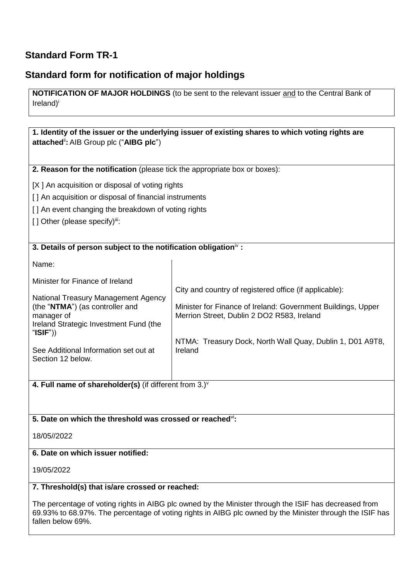## **Standard Form TR-1**

## **Standard form for notification of major holdings**

**NOTIFICATION OF MAJOR HOLDINGS** (to be sent to the relevant issuer and to the Central Bank of Ireland)<sup>i</sup>

**1. Identity of the issuer or the underlying issuer of existing shares to which voting rights are attached**ii**:** AIB Group plc ("**AIBG plc**") **2. Reason for the notification** (please tick the appropriate box or boxes): [X ] An acquisition or disposal of voting rights [] An acquisition or disposal of financial instruments [] An event changing the breakdown of voting rights [] Other (please specify)iii: **3. Details of person subject to the notification obligation**iv **:** Name: Minister for Finance of Ireland National Treasury Management Agency (the "**NTMA**") (as controller and manager of Ireland Strategic Investment Fund (the "**ISIF**")) See Additional Information set out at Section 12 below. City and country of registered office (if applicable): Minister for Finance of Ireland: Government Buildings, Upper Merrion Street, Dublin 2 DO2 R583, Ireland NTMA: Treasury Dock, North Wall Quay, Dublin 1, D01 A9T8, Ireland

**4. Full name of shareholder(s)** (if different from 3.)<sup>v</sup>

#### **5. Date on which the threshold was crossed or reached**vi**:**

18/05//2022

#### **6. Date on which issuer notified:**

19/05/2022

#### **7. Threshold(s) that is/are crossed or reached:**

The percentage of voting rights in AIBG plc owned by the Minister through the ISIF has decreased from 69.93% to 68.97%. The percentage of voting rights in AIBG plc owned by the Minister through the ISIF has fallen below 69%.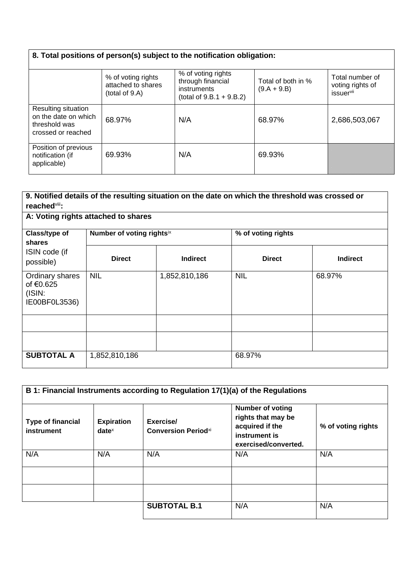# **8. Total positions of person(s) subject to the notification obligation:**

|                                                                                    | % of voting rights<br>attached to shares<br>(total of 9.A) | % of voting rights<br>through financial<br>instruments<br>(total of $9.B.1 + 9.B.2$ ) | Total of both in %<br>$(9.A + 9.B)$ | Total number of<br>voting rights of<br>issuervii |
|------------------------------------------------------------------------------------|------------------------------------------------------------|---------------------------------------------------------------------------------------|-------------------------------------|--------------------------------------------------|
| Resulting situation<br>on the date on which<br>threshold was<br>crossed or reached | 68.97%                                                     | N/A                                                                                   | 68.97%                              | 2,686,503,067                                    |
| Position of previous<br>notification (if<br>applicable)                            | 69.93%                                                     | N/A                                                                                   | 69.93%                              |                                                  |

| reached <sup>viii</sup> :                               |                           |                 | 9. Notified details of the resulting situation on the date on which the threshold was crossed or |                 |
|---------------------------------------------------------|---------------------------|-----------------|--------------------------------------------------------------------------------------------------|-----------------|
| A: Voting rights attached to shares                     |                           |                 |                                                                                                  |                 |
| Class/type of<br>shares<br>ISIN code (if<br>possible)   | Number of voting rightsix |                 | % of voting rights                                                                               |                 |
|                                                         | <b>Direct</b>             | <b>Indirect</b> | <b>Direct</b>                                                                                    | <b>Indirect</b> |
| Ordinary shares<br>of €0.625<br>(ISIN)<br>IE00BF0L3536) | <b>NIL</b>                | 1,852,810,186   | <b>NIL</b>                                                                                       | 68.97%          |
|                                                         |                           |                 |                                                                                                  |                 |
|                                                         |                           |                 |                                                                                                  |                 |
| <b>SUBTOTAL A</b>                                       | 1,852,810,186             |                 | 68.97%                                                                                           |                 |

| <b>Type of financial</b><br>instrument | <b>Expiration</b><br>$date^x$ | Exercise/<br><b>Conversion Periodxi</b> | B 1: Financial Instruments according to Regulation 17(1)(a) of the Regulations<br><b>Number of voting</b><br>rights that may be<br>acquired if the<br>instrument is<br>exercised/converted. | % of voting rights |
|----------------------------------------|-------------------------------|-----------------------------------------|---------------------------------------------------------------------------------------------------------------------------------------------------------------------------------------------|--------------------|
| N/A                                    | N/A                           | N/A                                     | N/A                                                                                                                                                                                         | N/A                |
|                                        |                               |                                         |                                                                                                                                                                                             |                    |
|                                        |                               |                                         |                                                                                                                                                                                             |                    |
|                                        |                               | <b>SUBTOTAL B.1</b>                     | N/A                                                                                                                                                                                         | N/A                |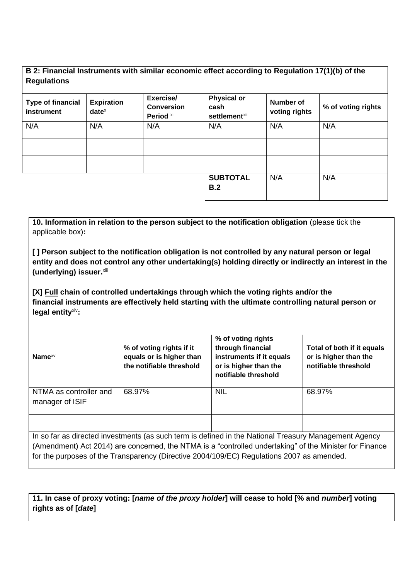### **B 2: Financial Instruments with similar economic effect according to Regulation 17(1)(b) of the Regulations**

| <b>Type of financial</b><br>instrument | <b>Expiration</b><br>$date^x$ | Exercise/<br><b>Conversion</b><br>Period xi | <b>Physical or</b><br>cash<br>settlement <sup>xii</sup> | Number of<br>voting rights | % of voting rights |
|----------------------------------------|-------------------------------|---------------------------------------------|---------------------------------------------------------|----------------------------|--------------------|
| N/A                                    | N/A                           | N/A                                         | N/A                                                     | N/A                        | N/A                |
|                                        |                               |                                             |                                                         |                            |                    |
|                                        |                               |                                             | <b>SUBTOTAL</b><br>B.2                                  | N/A                        | N/A                |

**10. Information in relation to the person subject to the notification obligation** (please tick the applicable box)**:**

**[ ] Person subject to the notification obligation is not controlled by any natural person or legal entity and does not control any other undertaking(s) holding directly or indirectly an interest in the**  (underlying) issuer.xiii

**[X] Full chain of controlled undertakings through which the voting rights and/or the financial instruments are effectively held starting with the ultimate controlling natural person or legal entity**xiv**:**

| Name $x_V$                                | % of voting rights if it<br>equals or is higher than<br>the notifiable threshold                        | % of voting rights<br>through financial<br>instruments if it equals<br>or is higher than the<br>notifiable threshold | Total of both if it equals<br>or is higher than the<br>notifiable threshold |
|-------------------------------------------|---------------------------------------------------------------------------------------------------------|----------------------------------------------------------------------------------------------------------------------|-----------------------------------------------------------------------------|
| NTMA as controller and<br>manager of ISIF | 68.97%                                                                                                  | <b>NIL</b>                                                                                                           | 68.97%                                                                      |
|                                           | la es for es directed investmente (es queb terme is defined in the Netional Trecourse Menographe Agency |                                                                                                                      |                                                                             |

In so far as directed investments (as such term is defined in the National Treasury Management Agency (Amendment) Act 2014) are concerned, the NTMA is a "controlled undertaking" of the Minister for Finance for the purposes of the Transparency (Directive 2004/109/EC) Regulations 2007 as amended.

**11. In case of proxy voting: [***name of the proxy holder***] will cease to hold [% and** *number***] voting rights as of [***date***]**